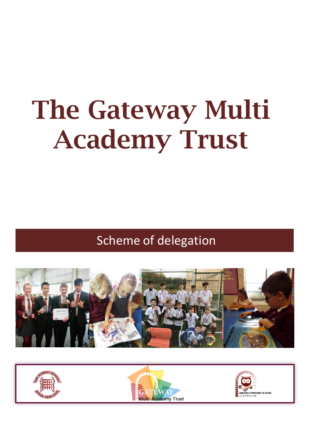# **The Gateway Multi Academy Trust**

Scheme of delegation



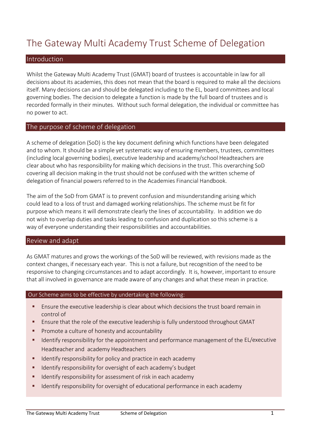# The Gateway Multi Academy Trust Scheme of Delegation

#### Introduction

Whilst the Gateway Multi Academy Trust (GMAT) board of trustees is accountable in law for all decisions about its academies, this does not mean that the board is required to make all the decisions itself. Many decisions can and should be delegated including to the EL, board committees and local governing bodies. The decision to delegate a function is made by the full board of trustees and is recorded formally in their minutes. Without such formal delegation, the individual or committee has no power to act.

#### The purpose of scheme of delegation

A scheme of delegation (SoD) is the key document defining which functions have been delegated and to whom. It should be a simple yet systematic way of ensuring members, trustees, committees (including local governing bodies), executive leadership and academy/school Headteachers are clear about who has responsibility for making which decisionsin the trust. This overarching SoD covering all decision making in the trust should not be confused with the written scheme of delegation of financial powers referred to in the Academies Financial Handbook.

The aim of the SoD from GMAT is to prevent confusion and misunderstanding arising which could lead to a loss of trust and damaged working relationships. The scheme must be fit for purpose which means it will demonstrate clearly the lines of accountability. In addition we do not wish to overlap duties and tasks leading to confusion and duplication so this scheme is a way of everyone understanding their responsibilities and accountabilities.

#### Review and adapt

As GMAT matures and grows the workings of the SoD will be reviewed, with revisions made as the context changes, if necessary each year. This is not a failure, but recognition of the need to be responsive to changing circumstances and to adapt accordingly. It is, however, important to ensure that all involved in governance are made aware of any changes and what these mean in practice.

#### Our Scheme aims to be effective by undertaking the following:

- **E** Ensure the executive leadership is clear about which decisions the trust board remain in control of
- **E** Ensure that the role of the executive leadership is fully understood throughout GMAT
- **Promote a culture of honesty and accountability**
- **If all identify responsibility for the appointment and performance management of the EL/executive** Headteacher and academy Headteachers
- **If Identify responsibility for policy and practice in each academy**
- **If all identify responsibility for oversight of each academy's budget**
- **If Identify responsibility for assessment of risk in each academy**
- **If Identify responsibility for oversight of educational performance in each academy**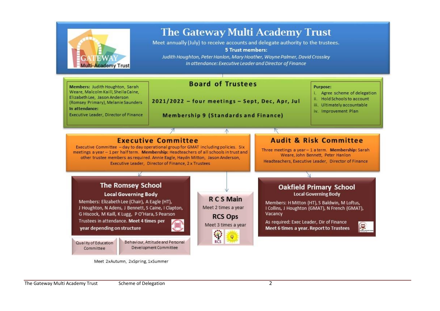

Meet 2xAutumn, 2xSpring, 1xSummer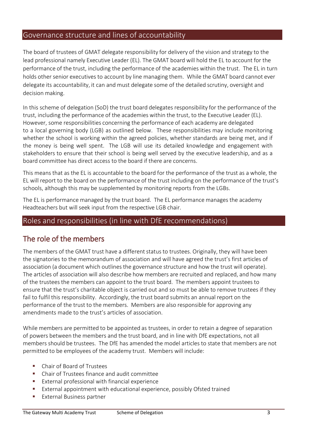#### Governance structure and lines of accountability

The board of trustees of GMAT delegate responsibility for delivery of the vision and strategy to the lead professional namely Executive Leader (EL). The GMAT board will hold the EL to account for the performance of the trust, including the performance of the academies within the trust. The EL in turn holds other senior executives to account by line managing them. While the GMAT board cannot ever delegate its accountability, it can and must delegate some of the detailed scrutiny, oversight and decision making.

In this scheme of delegation (SoD) the trust board delegates responsibility for the performance of the trust, including the performance of the academies within the trust, to the Executive Leader (EL). However, some responsibilities concerning the performance of each academy are delegated to a local governing body (LGB) as outlined below. These responsibilities may include monitoring whether the school is working within the agreed policies, whether standards are being met, and if the money is being well spent. The LGB will use its detailed knowledge and engagement with stakeholders to ensure that their school is being well served by the executive leadership, and as a board committee has direct access to the board if there are concerns.

This means that as the EL is accountable to the board for the performance of the trust as a whole, the EL will report to the board on the performance of the trust including on the performance of the trust's schools, although this may be supplemented by monitoring reports from the LGBs.

The EL is performance managed by the trust board. The EL performance manages the academy Headteachers but will seek input from the respective LGB chair.

#### Roles and responsibilities (in line with DfE recommendations)

#### The role of the members

The members of the GMAT trust have a different status to trustees. Originally, they will have been the signatories to the memorandum of association and will have agreed the trust's first articles of association (a document which outlines the governance structure and how the trust will operate). The articles of association will also describe how members are recruited and replaced, and how many of the trustees the members can appoint to the trust board. The members appoint trustees to ensure that the trust's charitable object is carried out and so must be able to remove trustees if they fail to fulfil this responsibility. Accordingly, the trust board submits an annual report on the performance of the trust to the members. Members are also responsible for approving any amendments made to the trust's articles of association.

While members are permitted to be appointed as trustees, in order to retain a degree of separation of powers between the members and the trust board, and in line with DfE expectations, not all members should be trustees. The DfE has amended the model articles to state that members are not permitted to be employees of the academy trust. Members will include:

- **EXEC** Chair of Board of Trustees
- Chair of Trustees finance and audit committee
- External professional with financial experience
- **External appointment with educational experience, possibly Ofsted trained**
- **External Business partner**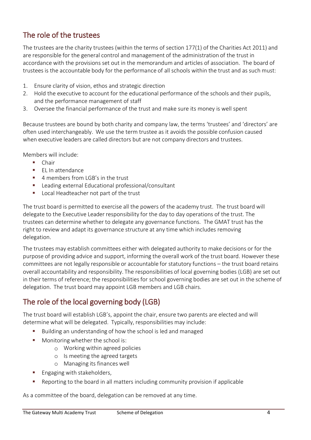# The role of the trustees

The trustees are the charity trustees (within the terms of section 177(1) of the Charities Act 2011) and are responsible for the general control and management of the administration of the trust in accordance with the provisions set out in the memorandum and articles of association. The board of trustees is the accountable body for the performance of all schools within the trust and as such must:

- 1. Ensure clarity of vision, ethos and strategic direction
- 2. Hold the executive to account for the educational performance of the schools and their pupils, and the performance management of staff
- 3. Oversee the financial performance of the trust and make sure its money is well spent

Because trustees are bound by both charity and company law, the terms 'trustees' and 'directors' are often used interchangeably. We use the term trustee as it avoids the possible confusion caused when executive leaders are called directors but are not company directors and trustees.

Members will include:

- **Chair**
- **EL In attendance**
- $\blacksquare$  4 members from LGB's in the trust
- Leading external Educational professional/consultant
- **Local Headteacher not part of the trust**

The trust board is permitted to exercise all the powers of the academy trust. The trust board will delegate to the Executive Leader responsibility for the day to day operations of the trust. The trustees can determine whether to delegate any governance functions. The GMAT trust has the right to review and adapt its governance structure at any time which includes removing delegation.

The trustees may establish committees either with delegated authority to make decisions or for the purpose of providing advice and support, informing the overall work of the trust board. However these committees are not legally responsible or accountable for statutory functions – the trust board retains overall accountability and responsibility. The responsibilities of local governing bodies (LGB) are set out in their terms of reference; the responsibilities for school governing bodies are set out in the scheme of delegation. The trust board may appoint LGB members and LGB chairs.

## The role of the local governing body (LGB)

The trust board will establish LGB's, appoint the chair, ensure two parents are elected and will determine what will be delegated. Typically, responsibilities may include:

- Building an understanding of how the school is led and managed
- Monitoring whether the school is:
	- o Working within agreed policies
	- o Is meeting the agreed targets
	- o Managing its finances well
- Engaging with stakeholders,
- Reporting to the board in all matters including community provision if applicable

As a committee of the board, delegation can be removed at any time.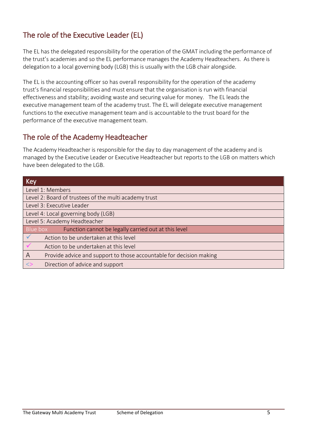# The role of the Executive Leader (EL)

The EL has the delegated responsibility for the operation of the GMAT including the performance of the trust's academies and so the EL performance manages the Academy Headteachers. As there is delegation to a local governing body (LGB) this is usually with the LGB chair alongside.

The EL is the accounting officer so has overall responsibility for the operation of the academy trust's financial responsibilities and must ensure that the organisation is run with financial effectiveness and stability; avoiding waste and securing value for money. The EL leads the executive management team of the academy trust. The EL will delegate executive management functions to the executive management team and is accountable to the trust board for the performance of the executive management team.

### The role of the Academy Headteacher

The Academy Headteacher is responsible for the day to day management of the academy and is managed by the Executive Leader or Executive Headteacher but reports to the LGB on matters which have been delegated to the LGB.

| Key                                                                      |
|--------------------------------------------------------------------------|
| Level 1: Members                                                         |
| Level 2: Board of trustees of the multi academy trust                    |
| Level 3: Executive Leader                                                |
| Level 4: Local governing body (LGB)                                      |
| Level 5: Academy Headteacher                                             |
| Blue box<br>Function cannot be legally carried out at this level         |
| Action to be undertaken at this level                                    |
| Action to be undertaken at this level                                    |
| Provide advice and support to those accountable for decision making<br>A |
| Direction of advice and support                                          |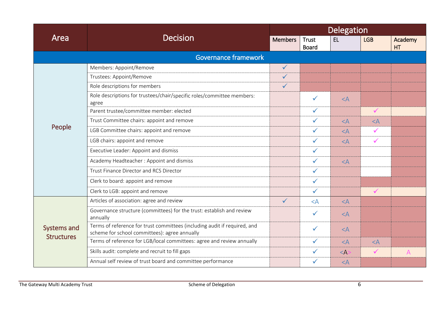| Area                             |                                                                                                                            |                | Delegation                   |           |              |                |  |
|----------------------------------|----------------------------------------------------------------------------------------------------------------------------|----------------|------------------------------|-----------|--------------|----------------|--|
|                                  | <b>Decision</b>                                                                                                            | <b>Members</b> | <b>Trust</b><br><b>Board</b> | <b>EL</b> | <b>LGB</b>   | Academy<br>HT  |  |
|                                  | Governance framework                                                                                                       |                |                              |           |              |                |  |
|                                  | Members: Appoint/Remove                                                                                                    | $\checkmark$   |                              |           |              |                |  |
|                                  | Trustees: Appoint/Remove                                                                                                   | $\checkmark$   |                              |           |              |                |  |
|                                  | Role descriptions for members                                                                                              | $\checkmark$   |                              |           |              |                |  |
|                                  | Role descriptions for trustees/chair/specific roles/committee members:<br>agree                                            |                | $\checkmark$                 | $<$ A     |              |                |  |
|                                  | Parent trustee/committee member: elected                                                                                   |                | $\checkmark$                 |           | $\checkmark$ |                |  |
|                                  | Trust Committee chairs: appoint and remove                                                                                 |                | $\checkmark$                 | $<$ A     | $<$ A        |                |  |
| People                           | LGB Committee chairs: appoint and remove                                                                                   |                | $\checkmark$                 | $<$ A     | $\checkmark$ |                |  |
|                                  | LGB chairs: appoint and remove                                                                                             |                | $\checkmark$                 | $\leq$ A  | $\checkmark$ |                |  |
|                                  | Executive Leader: Appoint and dismiss                                                                                      |                | $\checkmark$                 |           |              |                |  |
|                                  | Academy Headteacher: Appoint and dismiss                                                                                   |                | $\checkmark$                 | $<$ A     |              |                |  |
|                                  | Trust Finance Director and RCS Director                                                                                    |                | $\checkmark$                 |           |              |                |  |
|                                  | Clerk to board: appoint and remove                                                                                         |                | $\checkmark$                 |           |              |                |  |
|                                  | Clerk to LGB: appoint and remove                                                                                           |                | $\checkmark$                 |           | $\checkmark$ |                |  |
|                                  | Articles of association: agree and review                                                                                  | $\checkmark$   | $<$ $A$                      | $<$ A     |              |                |  |
|                                  | Governance structure (committees) for the trust: establish and review<br>annually                                          |                | $\checkmark$                 | $<$ A     |              |                |  |
| Systems and<br><b>Structures</b> | Terms of reference for trust committees (including audit if required, and<br>scheme for school committees): agree annually |                | $\checkmark$                 | $<$ A     |              |                |  |
|                                  | Terms of reference for LGB/local committees: agree and review annually                                                     |                | $\checkmark$                 | $<$ A     | $<$ A        |                |  |
|                                  | Skills audit: complete and recruit to fill gaps                                                                            |                | ✓                            | $<$ A     | $\checkmark$ | $\overline{A}$ |  |
|                                  | Annual self review of trust board and committee performance                                                                |                | ✓                            | $<$ A     |              |                |  |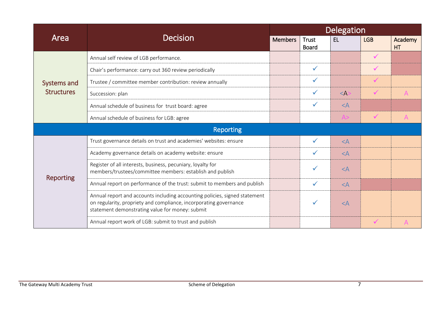| Area              |                                                                                                                                                                                                    |                | Delegation                   |             |              |                      |
|-------------------|----------------------------------------------------------------------------------------------------------------------------------------------------------------------------------------------------|----------------|------------------------------|-------------|--------------|----------------------|
|                   | <b>Decision</b>                                                                                                                                                                                    | <b>Members</b> | <b>Trust</b><br><b>Board</b> | EL          | <b>LGB</b>   | Academy<br><b>HT</b> |
|                   | Annual self review of LGB performance.                                                                                                                                                             |                |                              |             | $\checkmark$ |                      |
|                   | Chair's performance: carry out 360 review periodically                                                                                                                                             |                | $\checkmark$                 |             | $\checkmark$ |                      |
| Systems and       | Trustee / committee member contribution: review annually                                                                                                                                           |                | $\checkmark$                 |             | $\checkmark$ |                      |
| <b>Structures</b> | Succession: plan                                                                                                                                                                                   |                | ✓                            | $\leq$ A    | $\checkmark$ | A                    |
|                   | Annual schedule of business for trust board: agree                                                                                                                                                 |                | $\checkmark$                 | $<$ A       |              |                      |
|                   | Annual schedule of business for LGB: agree                                                                                                                                                         |                |                              | A>          | $\checkmark$ | $\overline{A}$       |
| <b>Reporting</b>  |                                                                                                                                                                                                    |                |                              |             |              |                      |
|                   | Trust governance details on trust and academies' websites: ensure                                                                                                                                  |                | $\checkmark$                 | $\langle A$ |              |                      |
|                   | Academy governance details on academy website: ensure                                                                                                                                              |                | $\checkmark$                 | $<$ A       |              |                      |
|                   | Register of all interests, business, pecuniary, loyalty for<br>members/trustees/committee members: establish and publish                                                                           |                | ✓                            | $<$ A       |              |                      |
| <b>Reporting</b>  | Annual report on performance of the trust: submit to members and publish                                                                                                                           |                | $\checkmark$                 | $<$ A       |              |                      |
|                   | Annual report and accounts including accounting policies, signed statement<br>on regularity, propriety and compliance, incorporating governance<br>statement demonstrating value for money: submit |                | $\checkmark$                 | $<$ A       |              |                      |
|                   | Annual report work of LGB: submit to trust and publish                                                                                                                                             |                |                              |             | $\checkmark$ | A                    |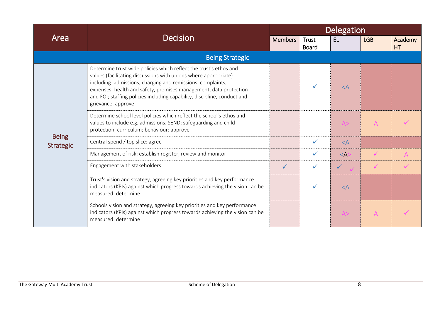| Area                             |                                                                                                                                                                                                                                                                                                                                                                            |                | Delegation                   |              |                |               |
|----------------------------------|----------------------------------------------------------------------------------------------------------------------------------------------------------------------------------------------------------------------------------------------------------------------------------------------------------------------------------------------------------------------------|----------------|------------------------------|--------------|----------------|---------------|
|                                  | <b>Decision</b>                                                                                                                                                                                                                                                                                                                                                            | <b>Members</b> | <b>Trust</b><br><b>Board</b> | EL           | <b>LGB</b>     | Academy<br>HT |
|                                  | <b>Being Strategic</b>                                                                                                                                                                                                                                                                                                                                                     |                |                              |              |                |               |
|                                  | Determine trust wide policies which reflect the trust's ethos and<br>values (facilitating discussions with unions where appropriate)<br>including: admissions; charging and remissions; complaints;<br>expenses; health and safety, premises management; data protection<br>and FOI; staffing policies including capability, discipline, conduct and<br>grievance: approve |                |                              | $\leq$ A     |                |               |
|                                  | Determine school level policies which reflect the school's ethos and<br>values to include e.g. admissions; SEND; safeguarding and child<br>protection; curriculum; behaviour: approve                                                                                                                                                                                      |                |                              | A>           | $\overline{A}$ |               |
| <b>Being</b><br><b>Strategic</b> | Central spend / top slice: agree                                                                                                                                                                                                                                                                                                                                           |                | $\checkmark$                 | $<$ A        |                |               |
|                                  | Management of risk: establish register, review and monitor                                                                                                                                                                                                                                                                                                                 |                | $\checkmark$                 | $\leq$ A:    | $\checkmark$   | $\mathsf{A}$  |
|                                  | Engagement with stakeholders                                                                                                                                                                                                                                                                                                                                               | $\checkmark$   | $\checkmark$                 | $\checkmark$ | $\checkmark$   |               |
|                                  | Trust's vision and strategy, agreeing key priorities and key performance<br>indicators (KPIs) against which progress towards achieving the vision can be<br>measured: determine                                                                                                                                                                                            |                | $\checkmark$                 | $<$ A        |                |               |
|                                  | Schools vision and strategy, agreeing key priorities and key performance<br>indicators (KPIs) against which progress towards achieving the vision can be<br>measured: determine                                                                                                                                                                                            |                |                              | A>           | $\mathsf{A}$   |               |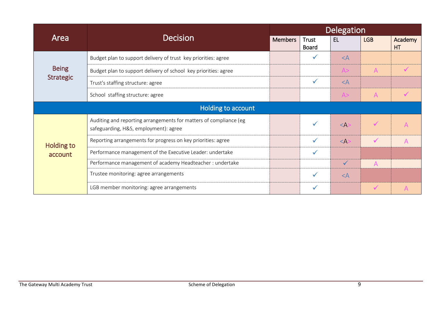| Area                             | <b>Decision</b>                                                                                            | Delegation     |                              |              |                |                      |
|----------------------------------|------------------------------------------------------------------------------------------------------------|----------------|------------------------------|--------------|----------------|----------------------|
|                                  |                                                                                                            | <b>Members</b> | <b>Trust</b><br><b>Board</b> | EL           | <b>LGB</b>     | Academy<br><b>HT</b> |
| <b>Being</b><br><b>Strategic</b> | Budget plan to support delivery of trust key priorities: agree                                             |                | ✓                            | $<$ $A$      |                |                      |
|                                  | Budget plan to support delivery of school key priorities: agree                                            |                |                              | A>           | $\overline{A}$ |                      |
|                                  | Trust's staffing structure: agree                                                                          |                | ✓                            | $<$ A        |                |                      |
|                                  | School staffing structure: agree                                                                           |                |                              | A>           | $\mathsf{A}$   |                      |
| Holding to account               |                                                                                                            |                |                              |              |                |                      |
| <b>Holding to</b><br>account     | Auditing and reporting arrangements for matters of compliance (eg<br>safeguarding, H&S, employment): agree |                | ✓                            | $<$ A:       | $\checkmark$   | $\Delta$             |
|                                  | Reporting arrangements for progress on key priorities: agree                                               |                | ✓                            | $<$ A:       | $\checkmark$   | A                    |
|                                  | Performance management of the Executive Leader: undertake                                                  |                | ✓                            |              |                |                      |
|                                  | Performance management of academy Headteacher : undertake                                                  |                |                              | $\checkmark$ | A              |                      |
|                                  | Trustee monitoring: agree arrangements                                                                     |                | $\checkmark$                 | $<$ $A$      |                |                      |
|                                  | LGB member monitoring: agree arrangements                                                                  |                | ✓                            |              | $\checkmark$   | $\overline{A}$       |